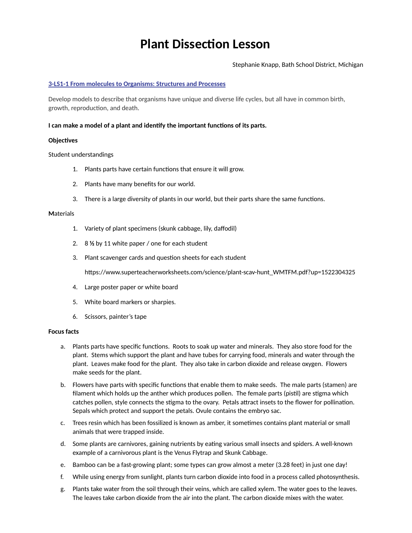# **Plant Dissection Lesson**

Stephanie Knapp, Bath School District, Michigan

## **[3-LS1-1 From molecules to Organisms: Structures and Processes](https://www.nextgenscience.org/pe/3-ls1-1-molecules-organisms-structures-and-processes)**

Develop models to describe that organisms have unique and diverse life cycles, but all have in common birth, growth, reproduction, and death.

#### **I can make a model of a plant and identify the important functions of its parts.**

#### **Objectives**

Student understandings

- 1. Plants parts have certain functions that ensure it will grow.
- 2. Plants have many benefits for our world.
- 3. There is a large diversity of plants in our world, but their parts share the same functions.

#### **M**aterials

- 1. Variety of plant specimens (skunk cabbage, lily, daffodil)
- 2. 8 **½** by 11 white paper / one for each student
- 3. Plant scavenger cards and question sheets for each student

https://www.superteacherworksheets.com/science/plant-scav-hunt\_WMTFM.pdf?up=1522304325

- 4. Large poster paper or white board
- 5. White board markers or sharpies.
- 6. Scissors, painter's tape

#### **Focus facts**

- a. Plants parts have specific functions. Roots to soak up water and minerals. They also store food for the plant. Stems which support the plant and have tubes for carrying food, minerals and water through the plant. Leaves make food for the plant. They also take in carbon dioxide and release oxygen. Flowers make seeds for the plant.
- b. Flowers have parts with specific functions that enable them to make seeds. The male parts (stamen) are filament which holds up the anther which produces pollen. The female parts (pistil) are stigma which catches pollen, style connects the stigma to the ovary. Petals attract insets to the flower for pollination. Sepals which protect and support the petals. Ovule contains the embryo sac.
- c. Trees resin which has been fossilized is known as amber, it sometimes contains plant material or small animals that were trapped inside.
- d. Some plants are carnivores, gaining nutrients by eating various small insects and spiders. A well-known example of a carnivorous plant is the Venus Flytrap and Skunk Cabbage.
- e. Bamboo can be a fast-growing plant; some types can grow almost a meter (3.28 feet) in just one day!
- f. While using energy from sunlight, plants turn carbon dioxide into food in a process called photosynthesis.
- g. Plants take water from the soil through their veins, which are called xylem. The water goes to the leaves. The leaves take carbon dioxide from the air into the plant. The carbon dioxide mixes with the water.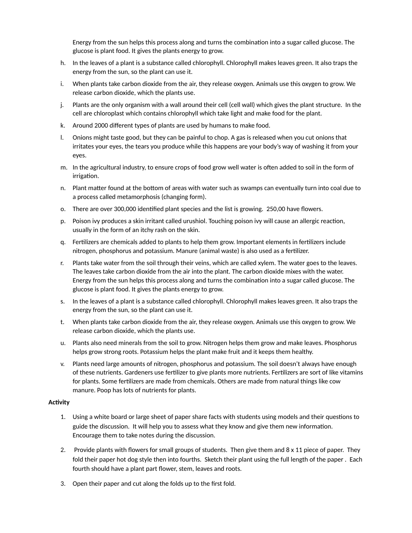Energy from the sun helps this process along and turns the combination into a sugar called glucose. The glucose is plant food. It gives the plants energy to grow.

- h. In the leaves of a plant is a substance called chlorophyll. Chlorophyll makes leaves green. It also traps the energy from the sun, so the plant can use it.
- i. When plants take carbon dioxide from the air, they release oxygen. Animals use this oxygen to grow. We release carbon dioxide, which the plants use.
- j. Plants are the only organism with a wall around their cell (cell wall) which gives the plant structure. In the cell are chloroplast which contains chlorophyll which take light and make food for the plant.
- k. Around 2000 different types of plants are used by humans to make food.
- l. Onions might taste good, but they can be painful to chop. A gas is released when you cut onions that irritates your eyes, the tears you produce while this happens are your body's way of washing it from your eyes.
- m. In the agricultural industry, to ensure crops of food grow well water is often added to soil in the form of irrigation.
- n. Plant matter found at the bottom of areas with water such as swamps can eventually turn into coal due to a process called metamorphosis (changing form).
- o. There are over 300,000 identified plant species and the list is growing. 250,00 have flowers.
- p. Poison ivy produces a skin irritant called urushiol. Touching poison ivy will cause an allergic reaction, usually in the form of an itchy rash on the skin.
- q. Fertilizers are chemicals added to plants to help them grow. Important elements in fertilizers include nitrogen, phosphorus and potassium. Manure (animal waste) is also used as a fertilizer.
- r. Plants take water from the soil through their veins, which are called xylem. The water goes to the leaves. The leaves take carbon dioxide from the air into the plant. The carbon dioxide mixes with the water. Energy from the sun helps this process along and turns the combination into a sugar called glucose. The glucose is plant food. It gives the plants energy to grow.
- s. In the leaves of a plant is a substance called chlorophyll. Chlorophyll makes leaves green. It also traps the energy from the sun, so the plant can use it.
- t. When plants take carbon dioxide from the air, they release oxygen. Animals use this oxygen to grow. We release carbon dioxide, which the plants use.
- u. Plants also need minerals from the soil to grow. Nitrogen helps them grow and make leaves. Phosphorus helps grow strong roots. Potassium helps the plant make fruit and it keeps them healthy.
- v. Plants need large amounts of nitrogen, phosphorus and potassium. The soil doesn't always have enough of these nutrients. Gardeners use fertilizer to give plants more nutrients. Fertilizers are sort of like vitamins for plants. Some fertilizers are made from chemicals. Others are made from natural things like cow manure. Poop has lots of nutrients for plants.

# **Activity**

- 1. Using a white board or large sheet of paper share facts with students using models and their questions to guide the discussion. It will help you to assess what they know and give them new information. Encourage them to take notes during the discussion.
- 2. Provide plants with flowers for small groups of students. Then give them and 8 x 11 piece of paper. They fold their paper hot dog style then into fourths. Sketch their plant using the full length of the paper . Each fourth should have a plant part flower, stem, leaves and roots.
- 3. Open their paper and cut along the folds up to the first fold.